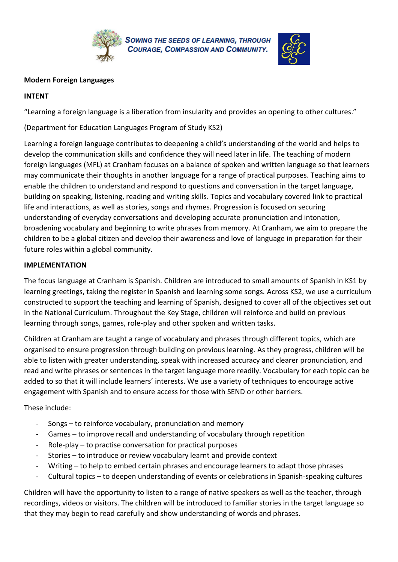

**SOWING THE SEEDS OF LEARNING, THROUGH COURAGE, COMPASSION AND COMMUNITY.** 



## **Modern Foreign Languages**

## **INTENT**

"Learning a foreign language is a liberation from insularity and provides an opening to other cultures."

(Department for Education Languages Program of Study KS2)

Learning a foreign language contributes to deepening a child's understanding of the world and helps to develop the communication skills and confidence they will need later in life. The teaching of modern foreign languages (MFL) at Cranham focuses on a balance of spoken and written language so that learners may communicate their thoughts in another language for a range of practical purposes. Teaching aims to enable the children to understand and respond to questions and conversation in the target language, building on speaking, listening, reading and writing skills. Topics and vocabulary covered link to practical life and interactions, as well as stories, songs and rhymes. Progression is focused on securing understanding of everyday conversations and developing accurate pronunciation and intonation, broadening vocabulary and beginning to write phrases from memory. At Cranham, we aim to prepare the children to be a global citizen and develop their awareness and love of language in preparation for their future roles within a global community.

## **IMPLEMENTATION**

The focus language at Cranham is Spanish. Children are introduced to small amounts of Spanish in KS1 by learning greetings, taking the register in Spanish and learning some songs. Across KS2, we use a curriculum constructed to support the teaching and learning of Spanish, designed to cover all of the objectives set out in the National Curriculum. Throughout the Key Stage, children will reinforce and build on previous learning through songs, games, role-play and other spoken and written tasks.

Children at Cranham are taught a range of vocabulary and phrases through different topics, which are organised to ensure progression through building on previous learning. As they progress, children will be able to listen with greater understanding, speak with increased accuracy and clearer pronunciation, and read and write phrases or sentences in the target language more readily. Vocabulary for each topic can be added to so that it will include learners' interests. We use a variety of techniques to encourage active engagement with Spanish and to ensure access for those with SEND or other barriers.

These include:

- Songs to reinforce vocabulary, pronunciation and memory
- Games to improve recall and understanding of vocabulary through repetition
- $Role$ -play to practise conversation for practical purposes
- Stories to introduce or review vocabulary learnt and provide context
- Writing to help to embed certain phrases and encourage learners to adapt those phrases
- Cultural topics to deepen understanding of events or celebrations in Spanish-speaking cultures

Children will have the opportunity to listen to a range of native speakers as well as the teacher, through recordings, videos or visitors. The children will be introduced to familiar stories in the target language so that they may begin to read carefully and show understanding of words and phrases.